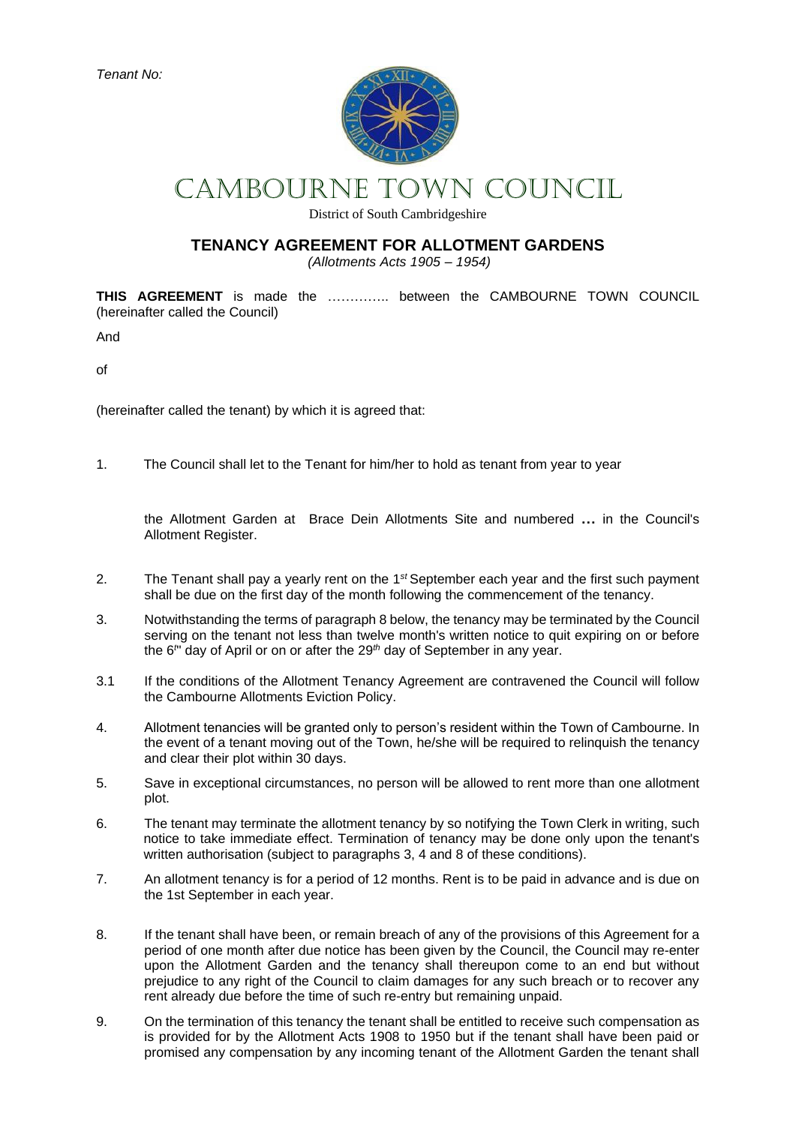*Tenant No:*



# CAMBOURNE Town COUNCIL

District of South Cambridgeshire

# **TENANCY AGREEMENT FOR ALLOTMENT GARDENS**

*(Allotments Acts 1905 – 1954)*

**THIS AGREEMENT** is made the ………….. between the CAMBOURNE TOWN COUNCIL (hereinafter called the Council)

And

of

(hereinafter called the tenant) by which it is agreed that:

1. The Council shall let to the Tenant for him/her to hold as tenant from year to year

the Allotment Garden at Brace Dein Allotments Site and numbered **…** in the Council's Allotment Register.

- 2. The Tenant shall pay a yearly rent on the 1*st* September each year and the first such payment shall be due on the first day of the month following the commencement of the tenancy.
- 3. Notwithstanding the terms of paragraph 8 below, the tenancy may be terminated by the Council serving on the tenant not less than twelve month's written notice to quit expiring on or before the 6*<sup>t</sup>* " day of April or on or after the 29*th* day of September in any year.
- 3.1 If the conditions of the Allotment Tenancy Agreement are contravened the Council will follow the Cambourne Allotments Eviction Policy.
- 4. Allotment tenancies will be granted only to person's resident within the Town of Cambourne. In the event of a tenant moving out of the Town, he/she will be required to relinquish the tenancy and clear their plot within 30 days.
- 5. Save in exceptional circumstances, no person will be allowed to rent more than one allotment plot.
- 6. The tenant may terminate the allotment tenancy by so notifying the Town Clerk in writing, such notice to take immediate effect. Termination of tenancy may be done only upon the tenant's written authorisation (subject to paragraphs 3, 4 and 8 of these conditions).
- 7. An allotment tenancy is for a period of 12 months. Rent is to be paid in advance and is due on the 1st September in each year.
- 8. If the tenant shall have been, or remain breach of any of the provisions of this Agreement for a period of one month after due notice has been given by the Council, the Council may re-enter upon the Allotment Garden and the tenancy shall thereupon come to an end but without prejudice to any right of the Council to claim damages for any such breach or to recover any rent already due before the time of such re-entry but remaining unpaid.
- 9. On the termination of this tenancy the tenant shall be entitled to receive such compensation as is provided for by the Allotment Acts 1908 to 1950 but if the tenant shall have been paid or promised any compensation by any incoming tenant of the Allotment Garden the tenant shall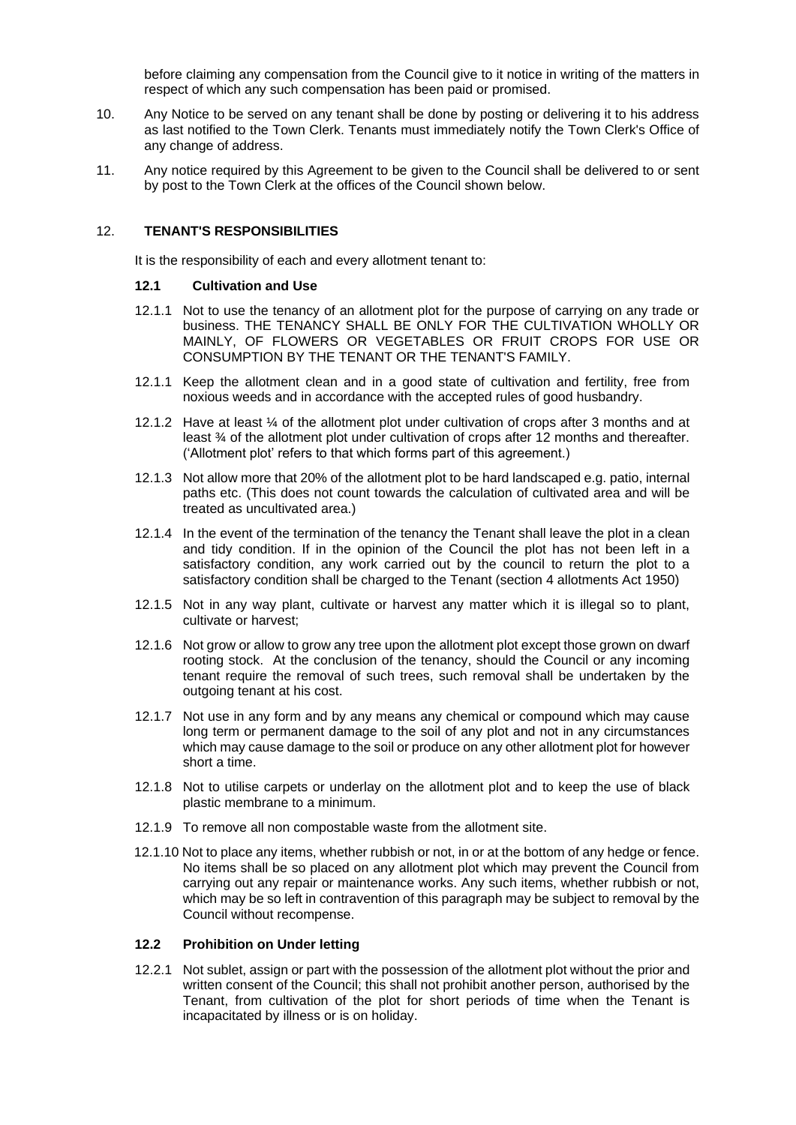before claiming any compensation from the Council give to it notice in writing of the matters in respect of which any such compensation has been paid or promised.

- 10. Any Notice to be served on any tenant shall be done by posting or delivering it to his address as last notified to the Town Clerk. Tenants must immediately notify the Town Clerk's Office of any change of address.
- 11. Any notice required by this Agreement to be given to the Council shall be delivered to or sent by post to the Town Clerk at the offices of the Council shown below.

## 12. **TENANT'S RESPONSIBILITIES**

It is the responsibility of each and every allotment tenant to:

#### **12.1 Cultivation and Use**

- 12.1.1 Not to use the tenancy of an allotment plot for the purpose of carrying on any trade or business. THE TENANCY SHALL BE ONLY FOR THE CULTIVATION WHOLLY OR MAINLY, OF FLOWERS OR VEGETABLES OR FRUIT CROPS FOR USE OR CONSUMPTION BY THE TENANT OR THE TENANT'S FAMILY.
- 12.1.1 Keep the allotment clean and in a good state of cultivation and fertility, free from noxious weeds and in accordance with the accepted rules of good husbandry.
- 12.1.2 Have at least ¼ of the allotment plot under cultivation of crops after 3 months and at least ¾ of the allotment plot under cultivation of crops after 12 months and thereafter. ('Allotment plot' refers to that which forms part of this agreement.)
- 12.1.3 Not allow more that 20% of the allotment plot to be hard landscaped e.g. patio, internal paths etc. (This does not count towards the calculation of cultivated area and will be treated as uncultivated area.)
- 12.1.4 In the event of the termination of the tenancy the Tenant shall leave the plot in a clean and tidy condition. If in the opinion of the Council the plot has not been left in a satisfactory condition, any work carried out by the council to return the plot to a satisfactory condition shall be charged to the Tenant (section 4 allotments Act 1950)
- 12.1.5 Not in any way plant, cultivate or harvest any matter which it is illegal so to plant, cultivate or harvest;
- 12.1.6 Not grow or allow to grow any tree upon the allotment plot except those grown on dwarf rooting stock. At the conclusion of the tenancy, should the Council or any incoming tenant require the removal of such trees, such removal shall be undertaken by the outgoing tenant at his cost.
- 12.1.7 Not use in any form and by any means any chemical or compound which may cause long term or permanent damage to the soil of any plot and not in any circumstances which may cause damage to the soil or produce on any other allotment plot for however short a time.
- 12.1.8 Not to utilise carpets or underlay on the allotment plot and to keep the use of black plastic membrane to a minimum.
- 12.1.9 To remove all non compostable waste from the allotment site.
- 12.1.10 Not to place any items, whether rubbish or not, in or at the bottom of any hedge or fence. No items shall be so placed on any allotment plot which may prevent the Council from carrying out any repair or maintenance works. Any such items, whether rubbish or not, which may be so left in contravention of this paragraph may be subject to removal by the Council without recompense.

## **12.2 Prohibition on Under letting**

12.2.1 Not sublet, assign or part with the possession of the allotment plot without the prior and written consent of the Council; this shall not prohibit another person, authorised by the Tenant, from cultivation of the plot for short periods of time when the Tenant is incapacitated by illness or is on holiday.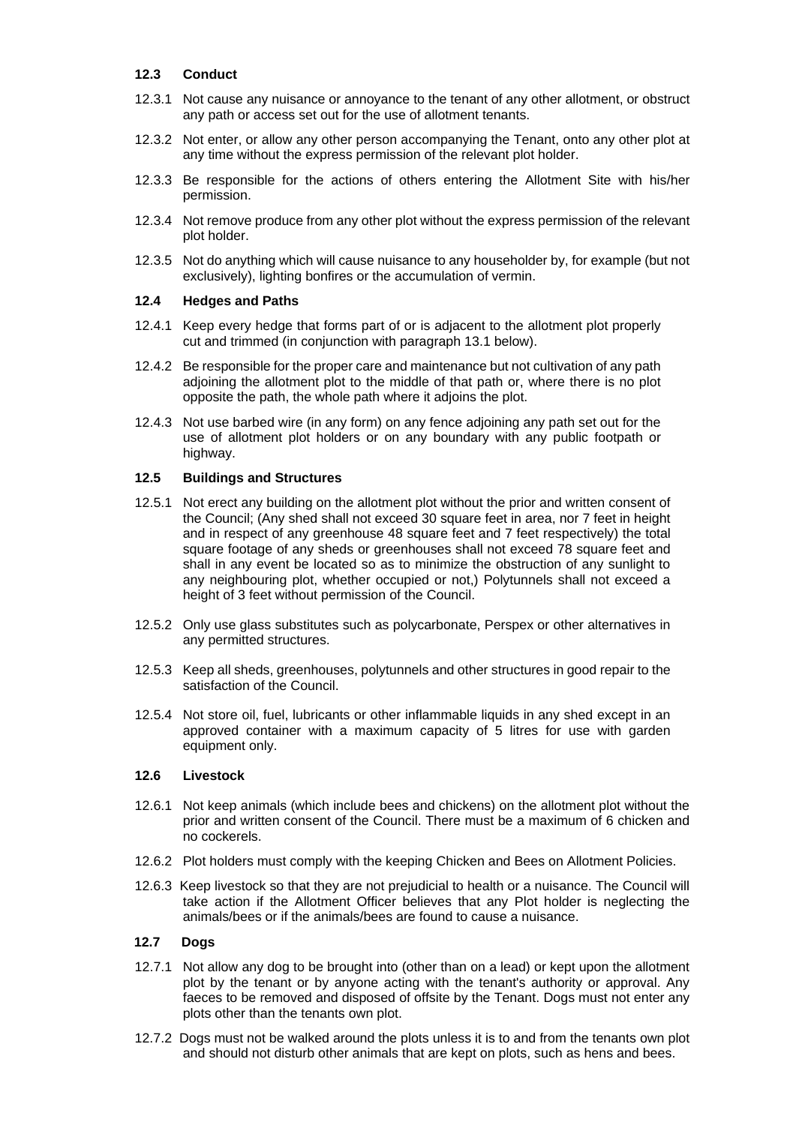## **12.3 Conduct**

- 12.3.1 Not cause any nuisance or annoyance to the tenant of any other allotment, or obstruct any path or access set out for the use of allotment tenants.
- 12.3.2 Not enter, or allow any other person accompanying the Tenant, onto any other plot at any time without the express permission of the relevant plot holder.
- 12.3.3 Be responsible for the actions of others entering the Allotment Site with his/her permission.
- 12.3.4 Not remove produce from any other plot without the express permission of the relevant plot holder.
- 12.3.5 Not do anything which will cause nuisance to any householder by, for example (but not exclusively), lighting bonfires or the accumulation of vermin.

## **12.4 Hedges and Paths**

- 12.4.1 Keep every hedge that forms part of or is adjacent to the allotment plot properly cut and trimmed (in conjunction with paragraph 13.1 below).
- 12.4.2 Be responsible for the proper care and maintenance but not cultivation of any path adjoining the allotment plot to the middle of that path or, where there is no plot opposite the path, the whole path where it adjoins the plot.
- 12.4.3 Not use barbed wire (in any form) on any fence adjoining any path set out for the use of allotment plot holders or on any boundary with any public footpath or highway.

# **12.5 Buildings and Structures**

- 12.5.1 Not erect any building on the allotment plot without the prior and written consent of the Council; (Any shed shall not exceed 30 square feet in area, nor 7 feet in height and in respect of any greenhouse 48 square feet and 7 feet respectively) the total square footage of any sheds or greenhouses shall not exceed 78 square feet and shall in any event be located so as to minimize the obstruction of any sunlight to any neighbouring plot, whether occupied or not,) Polytunnels shall not exceed a height of 3 feet without permission of the Council.
- 12.5.2 Only use glass substitutes such as polycarbonate, Perspex or other alternatives in any permitted structures.
- 12.5.3 Keep all sheds, greenhouses, polytunnels and other structures in good repair to the satisfaction of the Council.
- 12.5.4 Not store oil, fuel, lubricants or other inflammable liquids in any shed except in an approved container with a maximum capacity of 5 litres for use with garden equipment only.

## **12.6 Livestock**

- 12.6.1 Not keep animals (which include bees and chickens) on the allotment plot without the prior and written consent of the Council. There must be a maximum of 6 chicken and no cockerels.
- 12.6.2 Plot holders must comply with the keeping Chicken and Bees on Allotment Policies.
- 12.6.3 Keep livestock so that they are not prejudicial to health or a nuisance. The Council will take action if the Allotment Officer believes that any Plot holder is neglecting the animals/bees or if the animals/bees are found to cause a nuisance.

## **12.7 Dogs**

- 12.7.1 Not allow any dog to be brought into (other than on a lead) or kept upon the allotment plot by the tenant or by anyone acting with the tenant's authority or approval. Any faeces to be removed and disposed of offsite by the Tenant. Dogs must not enter any plots other than the tenants own plot.
- 12.7.2 Dogs must not be walked around the plots unless it is to and from the tenants own plot and should not disturb other animals that are kept on plots, such as hens and bees.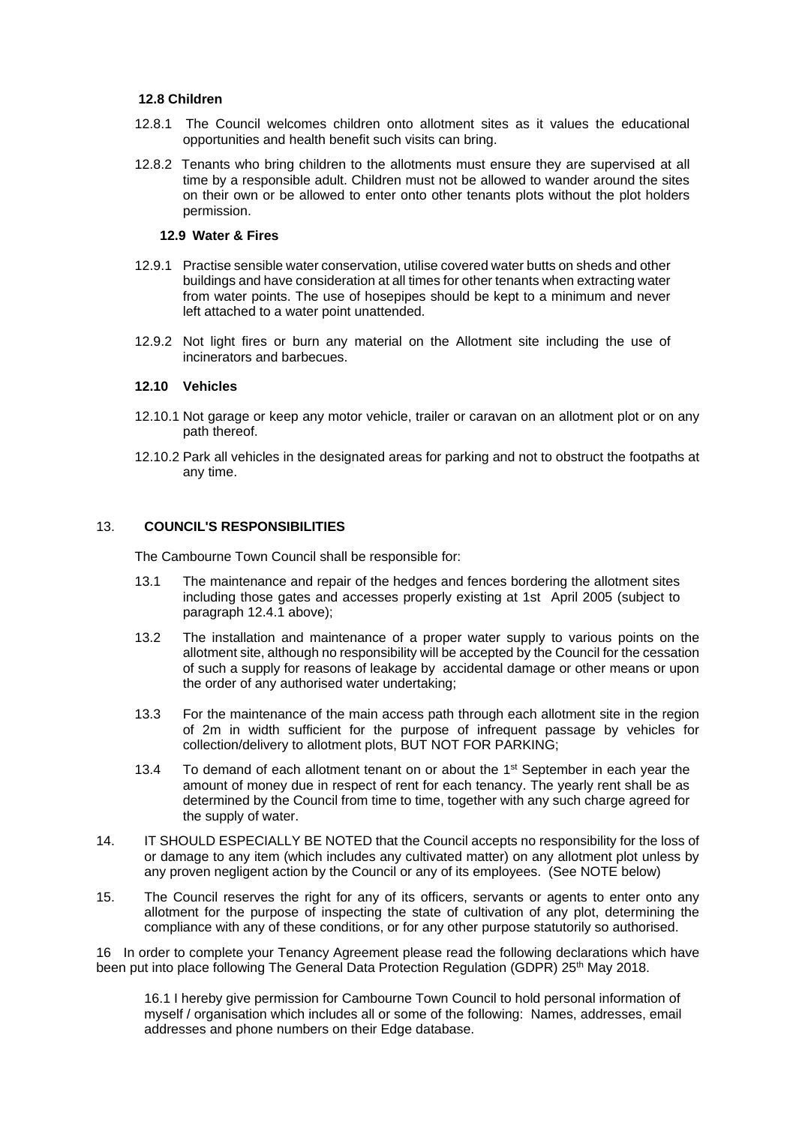## **12.8 Children**

- 12.8.1 The Council welcomes children onto allotment sites as it values the educational opportunities and health benefit such visits can bring.
- 12.8.2 Tenants who bring children to the allotments must ensure they are supervised at all time by a responsible adult. Children must not be allowed to wander around the sites on their own or be allowed to enter onto other tenants plots without the plot holders permission.

#### **12.9 Water & Fires**

- 12.9.1 Practise sensible water conservation, utilise covered water butts on sheds and other buildings and have consideration at all times for other tenants when extracting water from water points. The use of hosepipes should be kept to a minimum and never left attached to a water point unattended.
- 12.9.2 Not light fires or burn any material on the Allotment site including the use of incinerators and barbecues.

## **12.10 Vehicles**

- 12.10.1 Not garage or keep any motor vehicle, trailer or caravan on an allotment plot or on any path thereof.
- 12.10.2 Park all vehicles in the designated areas for parking and not to obstruct the footpaths at any time.

### 13. **COUNCIL'S RESPONSIBILITIES**

The Cambourne Town Council shall be responsible for:

- 13.1 The maintenance and repair of the hedges and fences bordering the allotment sites including those gates and accesses properly existing at 1st April 2005 (subject to paragraph 12.4.1 above);
- 13.2 The installation and maintenance of a proper water supply to various points on the allotment site, although no responsibility will be accepted by the Council for the cessation of such a supply for reasons of leakage by accidental damage or other means or upon the order of any authorised water undertaking;
- 13.3 For the maintenance of the main access path through each allotment site in the region of 2m in width sufficient for the purpose of infrequent passage by vehicles for collection/delivery to allotment plots, BUT NOT FOR PARKING;
- 13.4 To demand of each allotment tenant on or about the 1<sup>st</sup> September in each year the amount of money due in respect of rent for each tenancy. The yearly rent shall be as determined by the Council from time to time, together with any such charge agreed for the supply of water.
- 14. IT SHOULD ESPECIALLY BE NOTED that the Council accepts no responsibility for the loss of or damage to any item (which includes any cultivated matter) on any allotment plot unless by any proven negligent action by the Council or any of its employees. (See NOTE below)
- 15. The Council reserves the right for any of its officers, servants or agents to enter onto any allotment for the purpose of inspecting the state of cultivation of any plot, determining the compliance with any of these conditions, or for any other purpose statutorily so authorised.

16 In order to complete your Tenancy Agreement please read the following declarations which have been put into place following The General Data Protection Regulation (GDPR) 25<sup>th</sup> May 2018.

16.1 I hereby give permission for Cambourne Town Council to hold personal information of myself / organisation which includes all or some of the following: Names, addresses, email addresses and phone numbers on their Edge database.